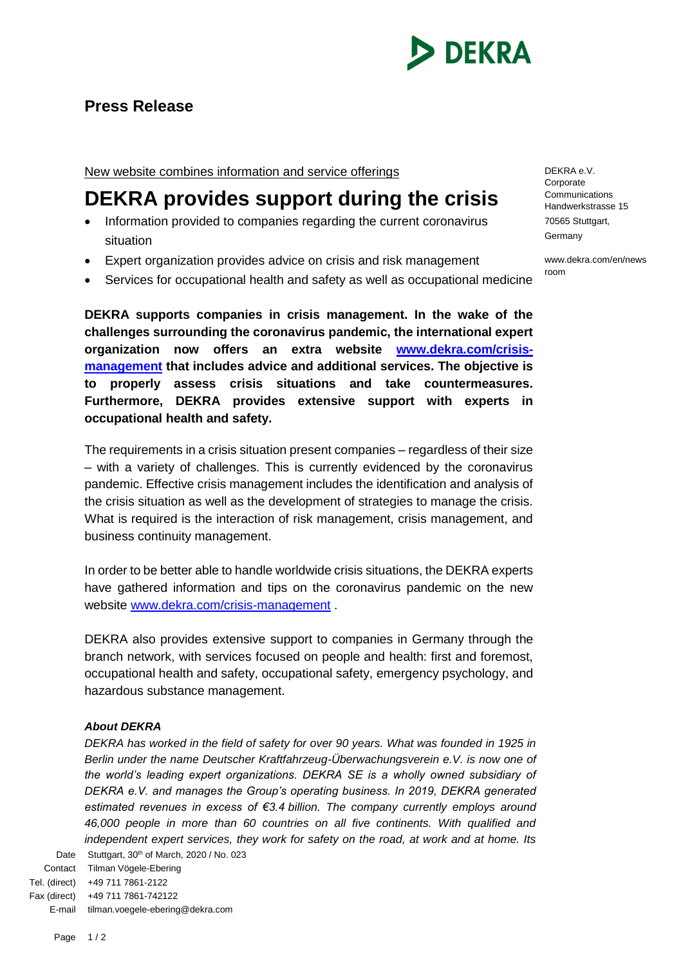

## **Press Release**

New website combines information and service offerings

## **DEKRA provides support during the crisis**

- Information provided to companies regarding the current coronavirus situation
- Expert organization provides advice on crisis and risk management
- Services for occupational health and safety as well as occupational medicine

**DEKRA supports companies in crisis management. In the wake of the challenges surrounding the coronavirus pandemic, the international expert organization now offers an extra website [www.dekra.com/crisis](http://www.dekra.com/crisis-management)[management](http://www.dekra.com/crisis-management) that includes advice and additional services. The objective is to properly assess crisis situations and take countermeasures. Furthermore, DEKRA provides extensive support with experts in occupational health and safety.**

The requirements in a crisis situation present companies – regardless of their size – with a variety of challenges. This is currently evidenced by the coronavirus pandemic. Effective crisis management includes the identification and analysis of the crisis situation as well as the development of strategies to manage the crisis. What is required is the interaction of risk management, crisis management, and business continuity management.

In order to be better able to handle worldwide crisis situations, the DEKRA experts have gathered information and tips on the coronavirus pandemic on the new website [www.dekra.com/crisis-management](http://www.dekra.com/crisis-management).

DEKRA also provides extensive support to companies in Germany through the branch network, with services focused on people and health: first and foremost, occupational health and safety, occupational safety, emergency psychology, and hazardous substance management.

## *About DEKRA*

Date Stuttgart, 30<sup>th</sup> of March, 2020 / No. 023 *DEKRA has worked in the field of safety for over 90 years. What was founded in 1925 in Berlin under the name Deutscher Kraftfahrzeug-Überwachungsverein e.V. is now one of the world's leading expert organizations. DEKRA SE is a wholly owned subsidiary of DEKRA e.V. and manages the Group's operating business. In 2019, DEKRA generated estimated revenues in excess of €3.4 billion. The company currently employs around 46,000 people in more than 60 countries on all five continents. With qualified and independent expert services, they work for safety on the road, at work and at home. Its* 

Contact Tilman Vögele-Ebering Tel. (direct) +49 711 7861-2122 Fax (direct) +49 711 7861-742122 E-mail tilman.voegele-ebering@dekra.com DEKRA e.V. Corporate **Communications** Handwerkstrasse 15 70565 Stuttgart, Germany

www.dekra.com/en/news room